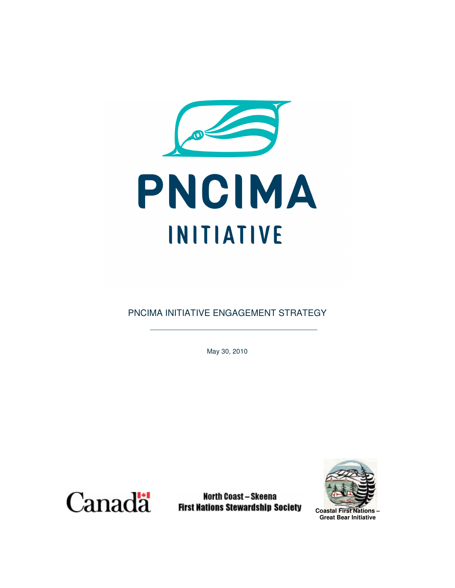

PNCIMA INITIATIVE ENGAGEMENT STRATEGY

May 30, 2010



Canada First North Coast – Skeena<br>First Nations Stewardship Society

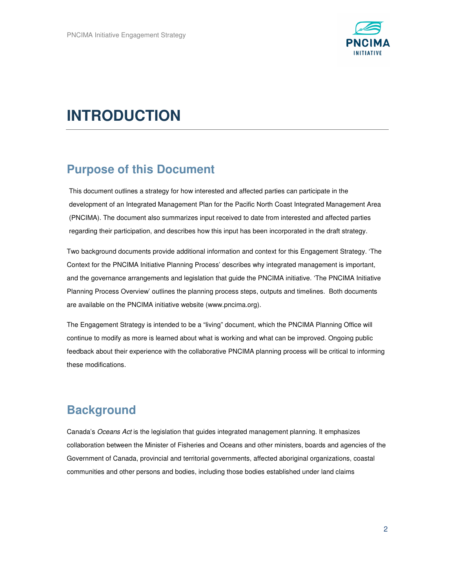

# **INTRODUCTION**

### **Purpose of this Document**

This document outlines a strategy for how interested and affected parties can participate in the development of an Integrated Management Plan for the Pacific North Coast Integrated Management Area (PNCIMA). The document also summarizes input received to date from interested and affected parties regarding their participation, and describes how this input has been incorporated in the draft strategy.

Two background documents provide additional information and context for this Engagement Strategy. 'The Context for the PNCIMA Initiative Planning Process' describes why integrated management is important, and the governance arrangements and legislation that guide the PNCIMA initiative. 'The PNCIMA Initiative Planning Process Overview' outlines the planning process steps, outputs and timelines. Both documents are available on the PNCIMA initiative website (www.pncima.org).

The Engagement Strategy is intended to be a "living" document, which the PNCIMA Planning Office will continue to modify as more is learned about what is working and what can be improved. Ongoing public feedback about their experience with the collaborative PNCIMA planning process will be critical to informing these modifications.

### **Background**

Canada's Oceans Act is the legislation that guides integrated management planning. It emphasizes collaboration between the Minister of Fisheries and Oceans and other ministers, boards and agencies of the Government of Canada, provincial and territorial governments, affected aboriginal organizations, coastal communities and other persons and bodies, including those bodies established under land claims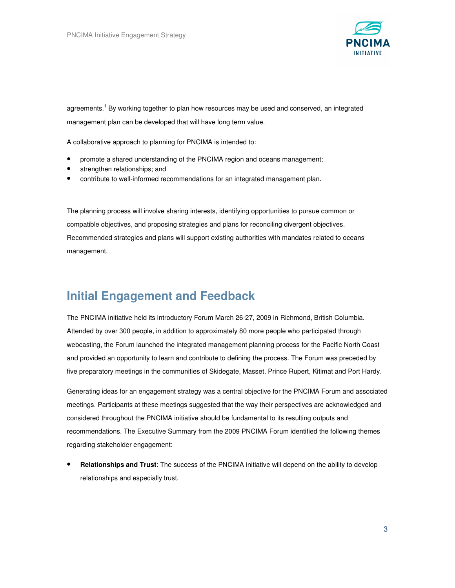

agreements.<sup>1</sup> By working together to plan how resources may be used and conserved, an integrated management plan can be developed that will have long term value.

A collaborative approach to planning for PNCIMA is intended to:

- promote a shared understanding of the PNCIMA region and oceans management;
- strengthen relationships; and
- contribute to well-informed recommendations for an integrated management plan.

The planning process will involve sharing interests, identifying opportunities to pursue common or compatible objectives, and proposing strategies and plans for reconciling divergent objectives. Recommended strategies and plans will support existing authorities with mandates related to oceans management.

### **Initial Engagement and Feedback**

The PNCIMA initiative held its introductory Forum March 26-27, 2009 in Richmond, British Columbia. Attended by over 300 people, in addition to approximately 80 more people who participated through webcasting, the Forum launched the integrated management planning process for the Pacific North Coast and provided an opportunity to learn and contribute to defining the process. The Forum was preceded by five preparatory meetings in the communities of Skidegate, Masset, Prince Rupert, Kitimat and Port Hardy.

Generating ideas for an engagement strategy was a central objective for the PNCIMA Forum and associated meetings. Participants at these meetings suggested that the way their perspectives are acknowledged and considered throughout the PNCIMA initiative should be fundamental to its resulting outputs and recommendations. The Executive Summary from the 2009 PNCIMA Forum identified the following themes regarding stakeholder engagement:

• **Relationships and Trust**: The success of the PNCIMA initiative will depend on the ability to develop relationships and especially trust.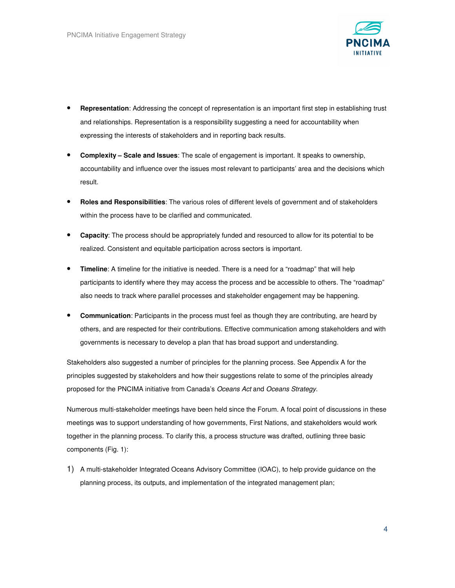

- **Representation**: Addressing the concept of representation is an important first step in establishing trust and relationships. Representation is a responsibility suggesting a need for accountability when expressing the interests of stakeholders and in reporting back results.
- **Complexity Scale and Issues**: The scale of engagement is important. It speaks to ownership, accountability and influence over the issues most relevant to participants' area and the decisions which result.
- **Roles and Responsibilities**: The various roles of different levels of government and of stakeholders within the process have to be clarified and communicated.
- **Capacity**: The process should be appropriately funded and resourced to allow for its potential to be realized. Consistent and equitable participation across sectors is important.
- **Timeline**: A timeline for the initiative is needed. There is a need for a "roadmap" that will help participants to identify where they may access the process and be accessible to others. The "roadmap" also needs to track where parallel processes and stakeholder engagement may be happening.
- **Communication**: Participants in the process must feel as though they are contributing, are heard by others, and are respected for their contributions. Effective communication among stakeholders and with governments is necessary to develop a plan that has broad support and understanding.

Stakeholders also suggested a number of principles for the planning process. See Appendix A for the principles suggested by stakeholders and how their suggestions relate to some of the principles already proposed for the PNCIMA initiative from Canada's Oceans Act and Oceans Strategy.

Numerous multi-stakeholder meetings have been held since the Forum. A focal point of discussions in these meetings was to support understanding of how governments, First Nations, and stakeholders would work together in the planning process. To clarify this, a process structure was drafted, outlining three basic components (Fig. 1):

1) A multi-stakeholder Integrated Oceans Advisory Committee (IOAC), to help provide guidance on the planning process, its outputs, and implementation of the integrated management plan;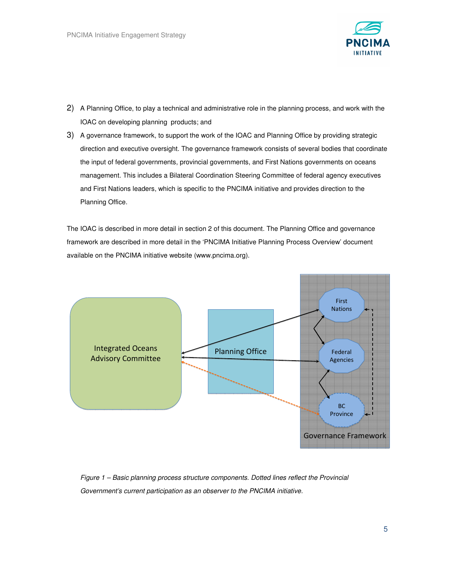

- 2) A Planning Office, to play a technical and administrative role in the planning process, and work with the IOAC on developing planning products; and
- 3) A governance framework, to support the work of the IOAC and Planning Office by providing strategic direction and executive oversight. The governance framework consists of several bodies that coordinate the input of federal governments, provincial governments, and First Nations governments on oceans management. This includes a Bilateral Coordination Steering Committee of federal agency executives and First Nations leaders, which is specific to the PNCIMA initiative and provides direction to the Planning Office.

The IOAC is described in more detail in section 2 of this document. The Planning Office and governance framework are described in more detail in the 'PNCIMA Initiative Planning Process Overview' document available on the PNCIMA initiative website (www.pncima.org).



Figure 1 – Basic planning process structure components. Dotted lines reflect the Provincial Government's current participation as an observer to the PNCIMA initiative.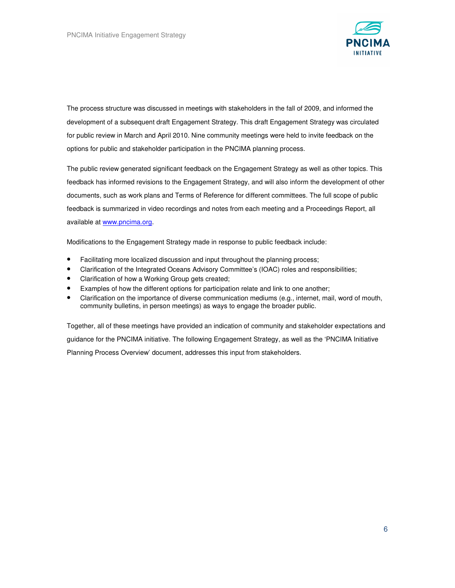

The process structure was discussed in meetings with stakeholders in the fall of 2009, and informed the development of a subsequent draft Engagement Strategy. This draft Engagement Strategy was circulated for public review in March and April 2010. Nine community meetings were held to invite feedback on the options for public and stakeholder participation in the PNCIMA planning process.

The public review generated significant feedback on the Engagement Strategy as well as other topics. This feedback has informed revisions to the Engagement Strategy, and will also inform the development of other documents, such as work plans and Terms of Reference for different committees. The full scope of public feedback is summarized in video recordings and notes from each meeting and a Proceedings Report, all available at www.pncima.org.

Modifications to the Engagement Strategy made in response to public feedback include:

- Facilitating more localized discussion and input throughout the planning process;
- Clarification of the Integrated Oceans Advisory Committee's (IOAC) roles and responsibilities;
- Clarification of how a Working Group gets created;
- Examples of how the different options for participation relate and link to one another;
- Clarification on the importance of diverse communication mediums (e.g., internet, mail, word of mouth, community bulletins, in person meetings) as ways to engage the broader public.

Together, all of these meetings have provided an indication of community and stakeholder expectations and guidance for the PNCIMA initiative. The following Engagement Strategy, as well as the 'PNCIMA Initiative Planning Process Overview' document, addresses this input from stakeholders.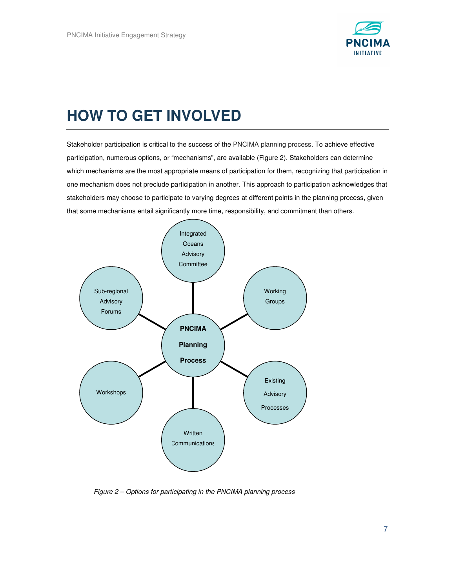

## **HOW TO GET INVOLVED**

Stakeholder participation is critical to the success of the PNCIMA planning process. To achieve effective participation, numerous options, or "mechanisms", are available (Figure 2). Stakeholders can determine which mechanisms are the most appropriate means of participation for them, recognizing that participation in one mechanism does not preclude participation in another. This approach to participation acknowledges that stakeholders may choose to participate to varying degrees at different points in the planning process, given that some mechanisms entail significantly more time, responsibility, and commitment than others.



Figure 2 – Options for participating in the PNCIMA planning process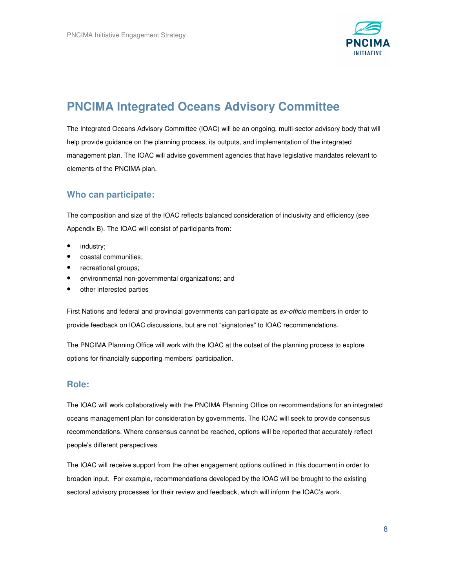

## **PNCIMA Integrated Oceans Advisory Committee**

The Integrated Oceans Advisory Committee (IOAC) will be an ongoing, multi-sector advisory body that will help provide guidance on the planning process, its outputs, and implementation of the integrated management plan. The IOAC will advise government agencies that have legislative mandates relevant to elements of the PNCIMA plan.

### **Who can participate:**

The composition and size of the IOAC reflects balanced consideration of inclusivity and efficiency (see Appendix B). The IOAC will consist of participants from:

- industry;
- coastal communities;
- recreational groups;
- environmental non-governmental organizations; and
- other interested parties

First Nations and federal and provincial governments can participate as ex-officio members in order to provide feedback on IOAC discussions, but are not "signatories" to IOAC recommendations.

The PNCIMA Planning Office will work with the IOAC at the outset of the planning process to explore options for financially supporting members' participation.

#### **Role:**

The IOAC will work collaboratively with the PNCIMA Planning Office on recommendations for an integrated oceans management plan for consideration by governments. The IOAC will seek to provide consensus recommendations. Where consensus cannot be reached, options will be reported that accurately reflect people's different perspectives.

The IOAC will receive support from the other engagement options outlined in this document in order to broaden input. For example, recommendations developed by the IOAC will be brought to the existing sectoral advisory processes for their review and feedback, which will inform the IOAC's work.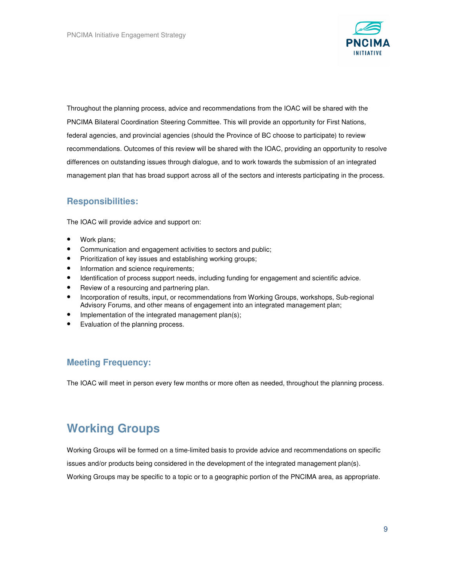

Throughout the planning process, advice and recommendations from the IOAC will be shared with the PNCIMA Bilateral Coordination Steering Committee. This will provide an opportunity for First Nations, federal agencies, and provincial agencies (should the Province of BC choose to participate) to review recommendations. Outcomes of this review will be shared with the IOAC, providing an opportunity to resolve differences on outstanding issues through dialogue, and to work towards the submission of an integrated management plan that has broad support across all of the sectors and interests participating in the process.

### **Responsibilities:**

The IOAC will provide advice and support on:

- Work plans;
- Communication and engagement activities to sectors and public;
- Prioritization of key issues and establishing working groups;
- Information and science requirements;
- Identification of process support needs, including funding for engagement and scientific advice.
- Review of a resourcing and partnering plan.
- Incorporation of results, input, or recommendations from Working Groups, workshops, Sub-regional Advisory Forums, and other means of engagement into an integrated management plan;
- Implementation of the integrated management plan(s);
- Evaluation of the planning process.

### **Meeting Frequency:**

The IOAC will meet in person every few months or more often as needed, throughout the planning process.

## **Working Groups**

Working Groups will be formed on a time-limited basis to provide advice and recommendations on specific issues and/or products being considered in the development of the integrated management plan(s). Working Groups may be specific to a topic or to a geographic portion of the PNCIMA area, as appropriate.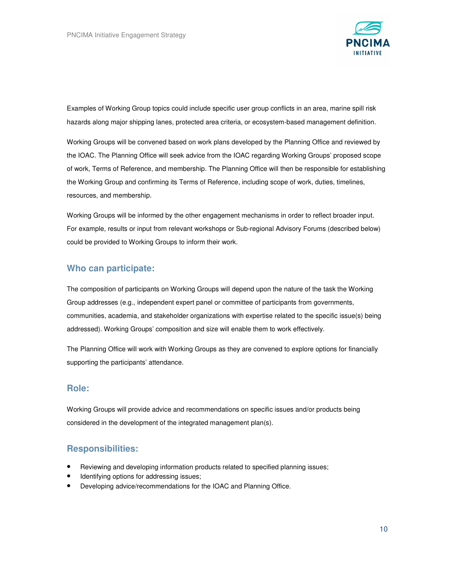

Examples of Working Group topics could include specific user group conflicts in an area, marine spill risk hazards along major shipping lanes, protected area criteria, or ecosystem-based management definition.

Working Groups will be convened based on work plans developed by the Planning Office and reviewed by the IOAC. The Planning Office will seek advice from the IOAC regarding Working Groups' proposed scope of work, Terms of Reference, and membership. The Planning Office will then be responsible for establishing the Working Group and confirming its Terms of Reference, including scope of work, duties, timelines, resources, and membership.

Working Groups will be informed by the other engagement mechanisms in order to reflect broader input. For example, results or input from relevant workshops or Sub-regional Advisory Forums (described below) could be provided to Working Groups to inform their work.

### **Who can participate:**

The composition of participants on Working Groups will depend upon the nature of the task the Working Group addresses (e.g., independent expert panel or committee of participants from governments, communities, academia, and stakeholder organizations with expertise related to the specific issue(s) being addressed). Working Groups' composition and size will enable them to work effectively.

The Planning Office will work with Working Groups as they are convened to explore options for financially supporting the participants' attendance.

#### **Role:**

Working Groups will provide advice and recommendations on specific issues and/or products being considered in the development of the integrated management plan(s).

### **Responsibilities:**

- Reviewing and developing information products related to specified planning issues;
- Identifying options for addressing issues;
- Developing advice/recommendations for the IOAC and Planning Office.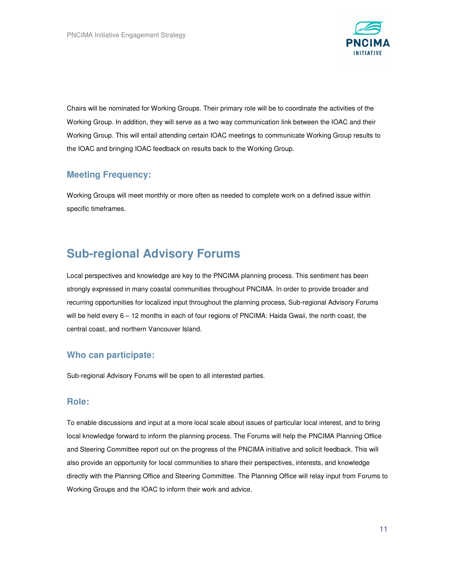

Chairs will be nominated for Working Groups. Their primary role will be to coordinate the activities of the Working Group. In addition, they will serve as a two way communication link between the IOAC and their Working Group. This will entail attending certain IOAC meetings to communicate Working Group results to the IOAC and bringing IOAC feedback on results back to the Working Group.

### **Meeting Frequency:**

Working Groups will meet monthly or more often as needed to complete work on a defined issue within specific timeframes.

### **Sub-regional Advisory Forums**

Local perspectives and knowledge are key to the PNCIMA planning process. This sentiment has been strongly expressed in many coastal communities throughout PNCIMA. In order to provide broader and recurring opportunities for localized input throughout the planning process, Sub-regional Advisory Forums will be held every 6 – 12 months in each of four regions of PNCIMA: Haida Gwaii, the north coast, the central coast, and northern Vancouver Island.

#### **Who can participate:**

Sub-regional Advisory Forums will be open to all interested parties.

#### **Role:**

To enable discussions and input at a more local scale about issues of particular local interest, and to bring local knowledge forward to inform the planning process. The Forums will help the PNCIMA Planning Office and Steering Committee report out on the progress of the PNCIMA initiative and solicit feedback. This will also provide an opportunity for local communities to share their perspectives, interests, and knowledge directly with the Planning Office and Steering Committee. The Planning Office will relay input from Forums to Working Groups and the IOAC to inform their work and advice.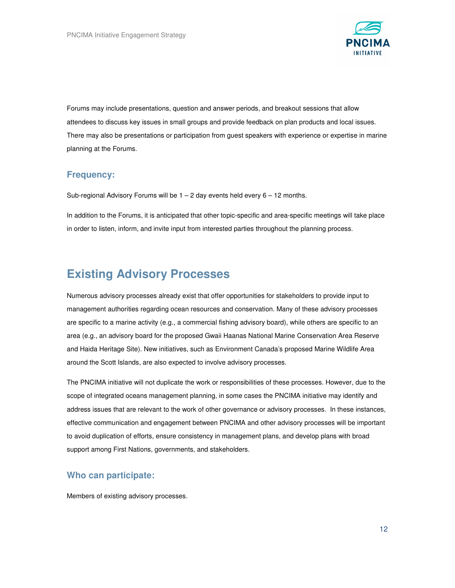

Forums may include presentations, question and answer periods, and breakout sessions that allow attendees to discuss key issues in small groups and provide feedback on plan products and local issues. There may also be presentations or participation from guest speakers with experience or expertise in marine planning at the Forums.

#### **Frequency:**

Sub-regional Advisory Forums will be  $1 - 2$  day events held every  $6 - 12$  months.

In addition to the Forums, it is anticipated that other topic-specific and area-specific meetings will take place in order to listen, inform, and invite input from interested parties throughout the planning process.

### **Existing Advisory Processes**

Numerous advisory processes already exist that offer opportunities for stakeholders to provide input to management authorities regarding ocean resources and conservation. Many of these advisory processes are specific to a marine activity (e.g., a commercial fishing advisory board), while others are specific to an area (e.g., an advisory board for the proposed Gwaii Haanas National Marine Conservation Area Reserve and Haida Heritage Site). New initiatives, such as Environment Canada's proposed Marine Wildlife Area around the Scott Islands, are also expected to involve advisory processes.

The PNCIMA initiative will not duplicate the work or responsibilities of these processes. However, due to the scope of integrated oceans management planning, in some cases the PNCIMA initiative may identify and address issues that are relevant to the work of other governance or advisory processes. In these instances, effective communication and engagement between PNCIMA and other advisory processes will be important to avoid duplication of efforts, ensure consistency in management plans, and develop plans with broad support among First Nations, governments, and stakeholders.

#### **Who can participate:**

Members of existing advisory processes.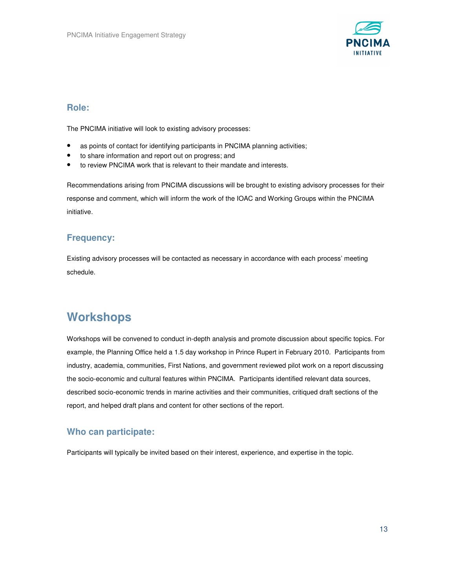

#### **Role:**

The PNCIMA initiative will look to existing advisory processes:

- as points of contact for identifying participants in PNCIMA planning activities;
- to share information and report out on progress; and
- to review PNCIMA work that is relevant to their mandate and interests.

Recommendations arising from PNCIMA discussions will be brought to existing advisory processes for their response and comment, which will inform the work of the IOAC and Working Groups within the PNCIMA initiative.

### **Frequency:**

Existing advisory processes will be contacted as necessary in accordance with each process' meeting schedule.

### **Workshops**

Workshops will be convened to conduct in-depth analysis and promote discussion about specific topics. For example, the Planning Office held a 1.5 day workshop in Prince Rupert in February 2010. Participants from industry, academia, communities, First Nations, and government reviewed pilot work on a report discussing the socio-economic and cultural features within PNCIMA. Participants identified relevant data sources, described socio-economic trends in marine activities and their communities, critiqued draft sections of the report, and helped draft plans and content for other sections of the report.

#### **Who can participate:**

Participants will typically be invited based on their interest, experience, and expertise in the topic.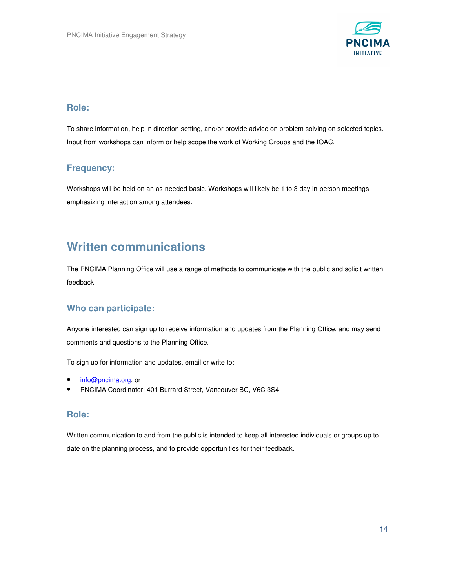

#### **Role:**

To share information, help in direction-setting, and/or provide advice on problem solving on selected topics. Input from workshops can inform or help scope the work of Working Groups and the IOAC.

### **Frequency:**

Workshops will be held on an as-needed basic. Workshops will likely be 1 to 3 day in-person meetings emphasizing interaction among attendees.

### **Written communications**

The PNCIMA Planning Office will use a range of methods to communicate with the public and solicit written feedback.

### **Who can participate:**

Anyone interested can sign up to receive information and updates from the Planning Office, and may send comments and questions to the Planning Office.

To sign up for information and updates, email or write to:

- info@pncima.org, or
- PNCIMA Coordinator, 401 Burrard Street, Vancouver BC, V6C 3S4

### **Role:**

Written communication to and from the public is intended to keep all interested individuals or groups up to date on the planning process, and to provide opportunities for their feedback.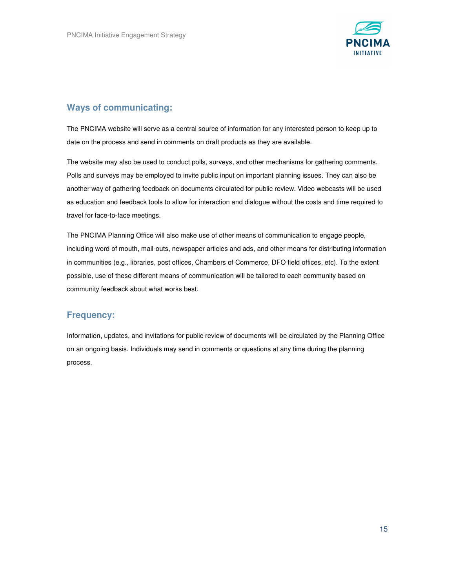

### **Ways of communicating:**

The PNCIMA website will serve as a central source of information for any interested person to keep up to date on the process and send in comments on draft products as they are available.

The website may also be used to conduct polls, surveys, and other mechanisms for gathering comments. Polls and surveys may be employed to invite public input on important planning issues. They can also be another way of gathering feedback on documents circulated for public review. Video webcasts will be used as education and feedback tools to allow for interaction and dialogue without the costs and time required to travel for face-to-face meetings.

The PNCIMA Planning Office will also make use of other means of communication to engage people, including word of mouth, mail-outs, newspaper articles and ads, and other means for distributing information in communities (e.g., libraries, post offices, Chambers of Commerce, DFO field offices, etc). To the extent possible, use of these different means of communication will be tailored to each community based on community feedback about what works best.

### **Frequency:**

Information, updates, and invitations for public review of documents will be circulated by the Planning Office on an ongoing basis. Individuals may send in comments or questions at any time during the planning process.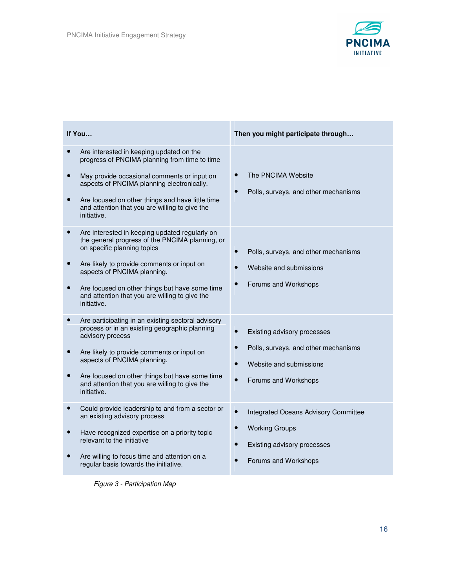

| If You                                                                                                                                                                                                                                                                                                                                            | Then you might participate through                                                                                                |
|---------------------------------------------------------------------------------------------------------------------------------------------------------------------------------------------------------------------------------------------------------------------------------------------------------------------------------------------------|-----------------------------------------------------------------------------------------------------------------------------------|
| Are interested in keeping updated on the<br>progress of PNCIMA planning from time to time<br>May provide occasional comments or input on<br>$\bullet$<br>aspects of PNCIMA planning electronically.<br>Are focused on other things and have little time<br>and attention that you are willing to give the<br>initiative.                          | The PNCIMA Website<br>Polls, surveys, and other mechanisms                                                                        |
| Are interested in keeping updated regularly on<br>the general progress of the PNCIMA planning, or<br>on specific planning topics<br>Are likely to provide comments or input on<br>$\bullet$<br>aspects of PNCIMA planning.<br>Are focused on other things but have some time<br>and attention that you are willing to give the<br>initiative.     | Polls, surveys, and other mechanisms<br>Website and submissions<br>Forums and Workshops                                           |
| Are participating in an existing sectoral advisory<br>$\bullet$<br>process or in an existing geographic planning<br>advisory process<br>Are likely to provide comments or input on<br>$\bullet$<br>aspects of PNCIMA planning.<br>Are focused on other things but have some time<br>and attention that you are willing to give the<br>initiative. | Existing advisory processes<br>Polls, surveys, and other mechanisms<br>Website and submissions<br>Forums and Workshops            |
| Could provide leadership to and from a sector or<br>$\bullet$<br>an existing advisory process<br>Have recognized expertise on a priority topic<br>$\bullet$<br>relevant to the initiative<br>Are willing to focus time and attention on a<br>regular basis towards the initiative.                                                                | Integrated Oceans Advisory Committee<br>$\bullet$<br><b>Working Groups</b><br>Existing advisory processes<br>Forums and Workshops |

Figure 3 - Participation Map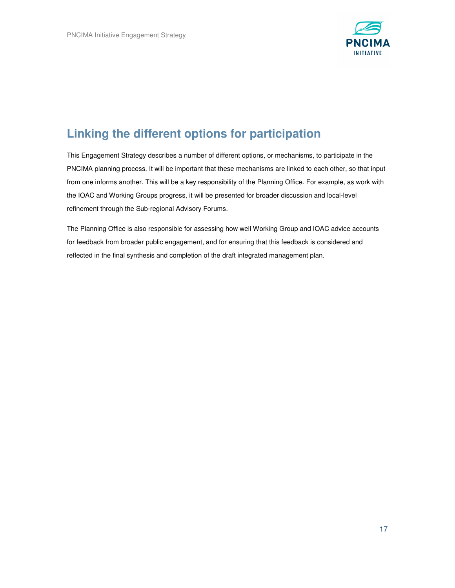

## **Linking the different options for participation**

This Engagement Strategy describes a number of different options, or mechanisms, to participate in the PNCIMA planning process. It will be important that these mechanisms are linked to each other, so that input from one informs another. This will be a key responsibility of the Planning Office. For example, as work with the IOAC and Working Groups progress, it will be presented for broader discussion and local-level refinement through the Sub-regional Advisory Forums.

The Planning Office is also responsible for assessing how well Working Group and IOAC advice accounts for feedback from broader public engagement, and for ensuring that this feedback is considered and reflected in the final synthesis and completion of the draft integrated management plan.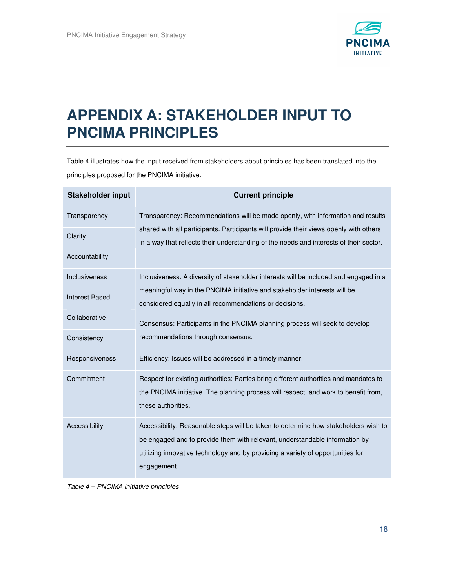

# **APPENDIX A: STAKEHOLDER INPUT TO PNCIMA PRINCIPLES**

Table 4 illustrates how the input received from stakeholders about principles has been translated into the principles proposed for the PNCIMA initiative.

| <b>Stakeholder input</b> | <b>Current principle</b>                                                                                                                                                                                                                                             |
|--------------------------|----------------------------------------------------------------------------------------------------------------------------------------------------------------------------------------------------------------------------------------------------------------------|
| Transparency             | Transparency: Recommendations will be made openly, with information and results<br>shared with all participants. Participants will provide their views openly with others<br>in a way that reflects their understanding of the needs and interests of their sector.  |
| Clarity                  |                                                                                                                                                                                                                                                                      |
| Accountability           |                                                                                                                                                                                                                                                                      |
| Inclusiveness            | Inclusiveness: A diversity of stakeholder interests will be included and engaged in a<br>meaningful way in the PNCIMA initiative and stakeholder interests will be<br>considered equally in all recommendations or decisions.                                        |
| <b>Interest Based</b>    |                                                                                                                                                                                                                                                                      |
| Collaborative            | Consensus: Participants in the PNCIMA planning process will seek to develop                                                                                                                                                                                          |
| Consistency              | recommendations through consensus.                                                                                                                                                                                                                                   |
| Responsiveness           | Efficiency: Issues will be addressed in a timely manner.                                                                                                                                                                                                             |
| Commitment               | Respect for existing authorities: Parties bring different authorities and mandates to<br>the PNCIMA initiative. The planning process will respect, and work to benefit from,<br>these authorities.                                                                   |
| Accessibility            | Accessibility: Reasonable steps will be taken to determine how stakeholders wish to<br>be engaged and to provide them with relevant, understandable information by<br>utilizing innovative technology and by providing a variety of opportunities for<br>engagement. |

Table 4 – PNCIMA initiative principles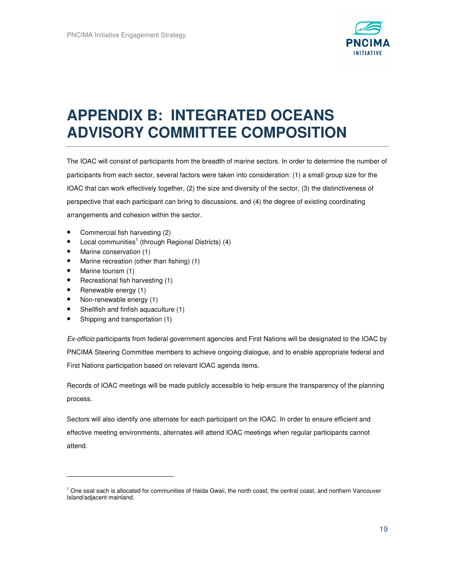

# **APPENDIX B: INTEGRATED OCEANS ADVISORY COMMITTEE COMPOSITION**

The IOAC will consist of participants from the breadth of marine sectors. In order to determine the number of participants from each sector, several factors were taken into consideration: (1) a small group size for the IOAC that can work effectively together, (2) the size and diversity of the sector, (3) the distinctiveness of perspective that each participant can bring to discussions, and (4) the degree of existing coordinating arrangements and cohesion within the sector.

- Commercial fish harvesting (2)
- $\bullet$  Local communities<sup>1</sup> (through Regional Districts) (4)
- Marine conservation (1)
- Marine recreation (other than fishing) (1)
- Marine tourism (1)

 $\overline{a}$ 

- Recreational fish harvesting (1)
- Renewable energy (1)
- Non-renewable energy (1)
- Shellfish and finfish aquaculture (1)
- Shipping and transportation (1)

Ex-officio participants from federal government agencies and First Nations will be designated to the IOAC by PNCIMA Steering Committee members to achieve ongoing dialogue, and to enable appropriate federal and First Nations participation based on relevant IOAC agenda items.

Records of IOAC meetings will be made publicly accessible to help ensure the transparency of the planning process.

Sectors will also identify one alternate for each participant on the IOAC. In order to ensure efficient and effective meeting environments, alternates will attend IOAC meetings when regular participants cannot attend.

<sup>&</sup>lt;sup>1</sup> One seat each is allocated for communities of Haida Gwaii, the north coast, the central coast, and northern Vancouver Island/adjacent mainland.